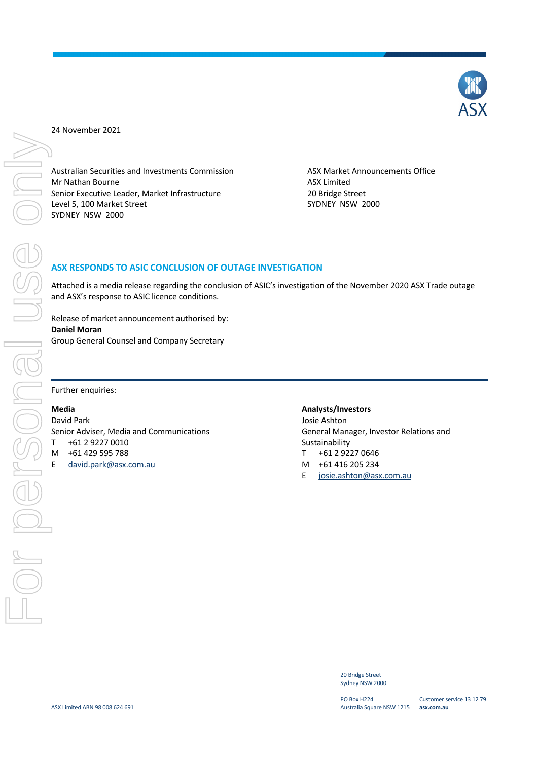Australian Securities and Investments Commission<br>
Mr Nathan Bourne<br>
Senior Executive Leader, Market Infrastructure<br>
Level 5, 100 Market Street<br>
SYDNEY NSW 2000<br>
SYDNEY NSW 2000<br>
ASX RESPONDS TO ASIC CONCLUSION OF OUTAGE IN Mr Nathan Bourne **ASX** Limited Senior Executive Leader, Market Infrastructure 20 Bridge Street<br>
1990 Level 5, 100 Market Street 2000 Level 5, 100 Market Street SYDNEY NSW 2000

# **ASX RESPONDS TO ASIC CONCLUSION OF OUTAGE INVESTIGATION**

Attached is a media release regarding the conclusion of ASIC's investigation of the November 2020 ASX Trade outage and ASX's response to ASIC licence conditions.

Release of market announcement authorised by: **Daniel Moran**  Group General Counsel and Company Secretary

Further enquiries:

# **Media**

David Park Senior Adviser, Media and Communications T +61 2 9227 0010 M +61 429 595 788 E david.park@asx.com.au

# **Analysts/Investors**

Josie Ashton General Manager, Investor Relations and Sustainability T +61 2 9227 0646

- M +61 416 205 234
- E josie.ashton@asx.com.au

20 Bridge Street Sydney NSW 2000

PO Box H224 Australia Square NSW 1215 **asx.com.au**

Customer service 13 12 79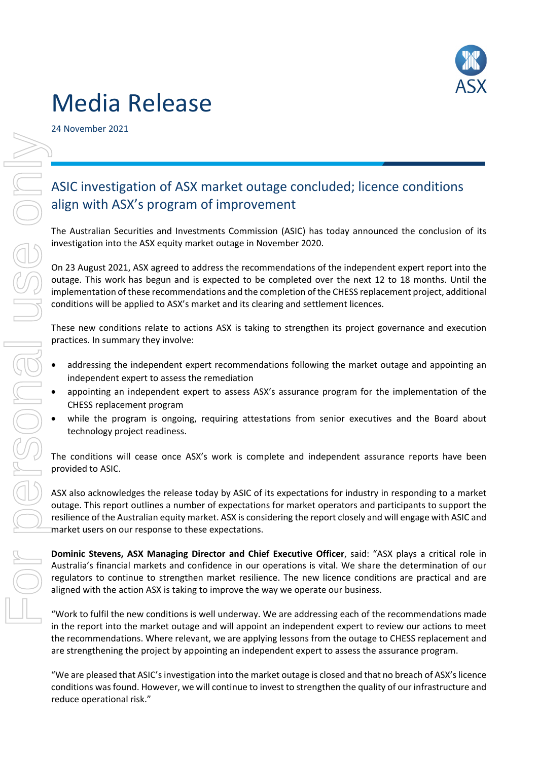

# Media Release

24 November 2021

# For align with ASX's program<br>
The Australian Securities and Investigation into the ASX equity<br>
On 23 August 2021, ASX agreed to use<br>
only on 23 August 2021, ASX agreed to use<br>
implementation of these recomments<br>
These new

# ASIC investigation of ASX market outage concluded; licence conditions align with ASX's program of improvement

The Australian Securities and Investments Commission (ASIC) has today announced the conclusion of its investigation into the ASX equity market outage in November 2020.

On 23 August 2021, ASX agreed to address the recommendations of the independent expert report into the outage. This work has begun and is expected to be completed over the next 12 to 18 months. Until the implementation of these recommendations and the completion of the CHESS replacement project, additional conditions will be applied to ASX's market and its clearing and settlement licences.

These new conditions relate to actions ASX is taking to strengthen its project governance and execution practices. In summary they involve:

- addressing the independent expert recommendations following the market outage and appointing an independent expert to assess the remediation
- appointing an independent expert to assess ASX's assurance program for the implementation of the CHESS replacement program
- while the program is ongoing, requiring attestations from senior executives and the Board about technology project readiness.

The conditions will cease once ASX's work is complete and independent assurance reports have been provided to ASIC.

ASX also acknowledges the release today by ASIC of its expectations for industry in responding to a market outage. This report outlines a number of expectations for market operators and participants to support the resilience of the Australian equity market. ASX is considering the report closely and will engage with ASIC and market users on our response to these expectations.

**Dominic Stevens, ASX Managing Director and Chief Executive Officer**, said: "ASX plays a critical role in Australia's financial markets and confidence in our operations is vital. We share the determination of our regulators to continue to strengthen market resilience. The new licence conditions are practical and are aligned with the action ASX is taking to improve the way we operate our business.

"Work to fulfil the new conditions is well underway. We are addressing each of the recommendations made in the report into the market outage and will appoint an independent expert to review our actions to meet the recommendations. Where relevant, we are applying lessons from the outage to CHESS replacement and are strengthening the project by appointing an independent expert to assess the assurance program.

"We are pleased that ASIC'sinvestigation into the market outage is closed and that no breach of ASX'slicence conditions wasfound. However, we will continue to invest to strengthen the quality of our infrastructure and reduce operational risk."